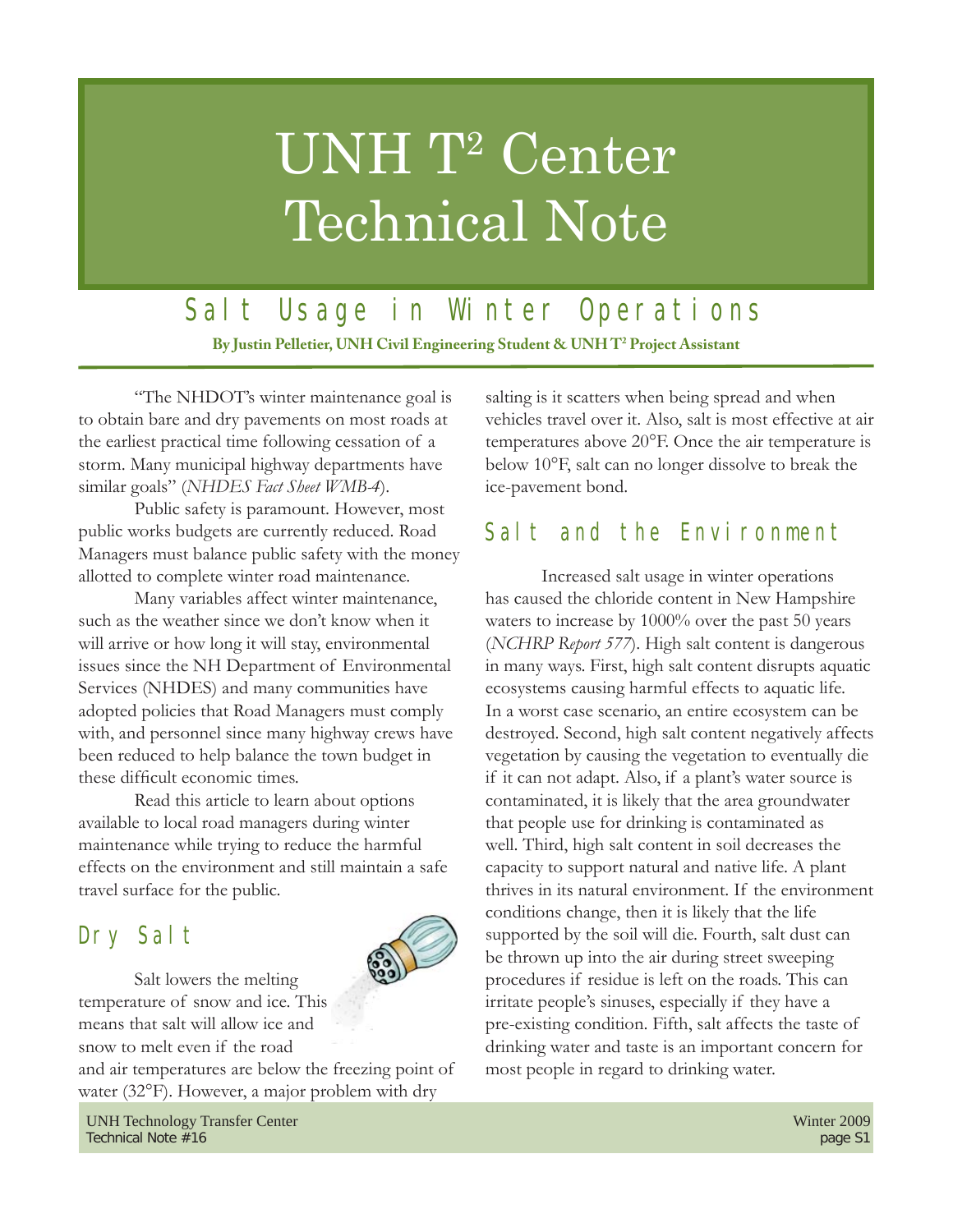# UNH T<sup>2</sup> Center Technical Note

## Salt Usage in Winter Operations

**By Justin Pelletier, UNH Civil Engineering Student & UNH T2 Project Assistant**

 "The NHDOT's winter maintenance goal is to obtain bare and dry pavements on most roads at the earliest practical time following cessation of a storm. Many municipal highway departments have similar goals" (*NHDES Fact Sheet WMB-4*).

 Public safety is paramount. However, most public works budgets are currently reduced. Road Managers must balance public safety with the money allotted to complete winter road maintenance.

 Many variables affect winter maintenance, such as the weather since we don't know when it will arrive or how long it will stay, environmental issues since the NH Department of Environmental Services (NHDES) and many communities have adopted policies that Road Managers must comply with, and personnel since many highway crews have been reduced to help balance the town budget in these difficult economic times.

 Read this article to learn about options available to local road managers during winter maintenance while trying to reduce the harmful effects on the environment and still maintain a safe travel surface for the public.

## Dry Salt



 Salt lowers the melting temperature of snow and ice. This means that salt will allow ice and snow to melt even if the road and air temperatures are below the freezing point of water (32°F). However, a major problem with dry

UNH Technology Transfer Center Winter 2009 Technical Note #16 page S1

salting is it scatters when being spread and when vehicles travel over it. Also, salt is most effective at air temperatures above 20°F. Once the air temperature is below 10°F, salt can no longer dissolve to break the ice-pavement bond.

#### Salt and the Environment

 Increased salt usage in winter operations has caused the chloride content in New Hampshire waters to increase by 1000% over the past 50 years (*NCHRP Report 577*). High salt content is dangerous in many ways. First, high salt content disrupts aquatic ecosystems causing harmful effects to aquatic life. In a worst case scenario, an entire ecosystem can be destroyed. Second, high salt content negatively affects vegetation by causing the vegetation to eventually die if it can not adapt. Also, if a plant's water source is contaminated, it is likely that the area groundwater that people use for drinking is contaminated as well. Third, high salt content in soil decreases the capacity to support natural and native life. A plant thrives in its natural environment. If the environment conditions change, then it is likely that the life supported by the soil will die. Fourth, salt dust can be thrown up into the air during street sweeping procedures if residue is left on the roads. This can irritate people's sinuses, especially if they have a pre-existing condition. Fifth, salt affects the taste of drinking water and taste is an important concern for most people in regard to drinking water.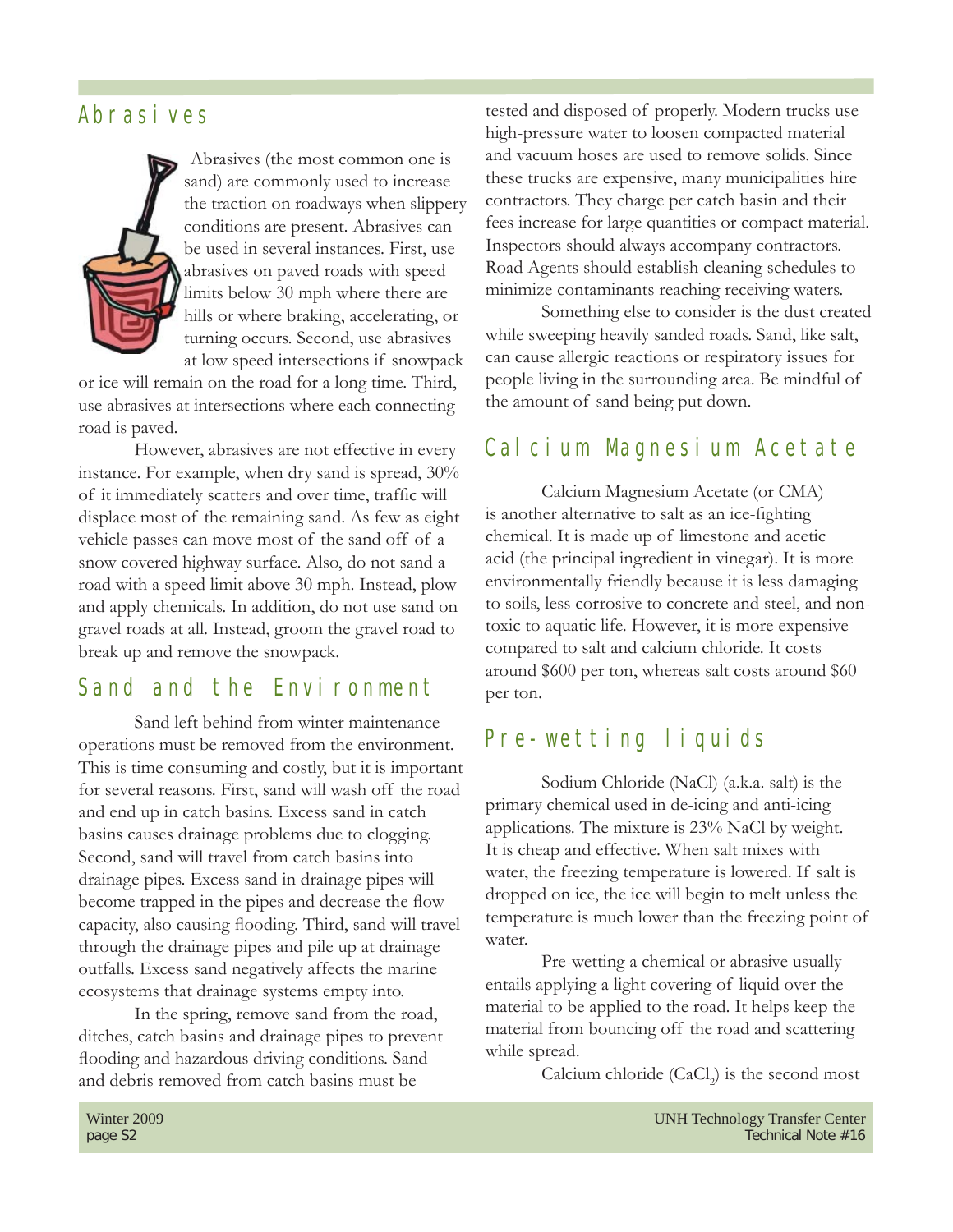#### Abrasives



 Abrasives (the most common one is sand) are commonly used to increase the traction on roadways when slippery conditions are present. Abrasives can be used in several instances. First, use abrasives on paved roads with speed limits below 30 mph where there are hills or where braking, accelerating, or turning occurs. Second, use abrasives at low speed intersections if snowpack

or ice will remain on the road for a long time. Third, use abrasives at intersections where each connecting road is paved.

 However, abrasives are not effective in every instance. For example, when dry sand is spread, 30% of it immediately scatters and over time, traffic will displace most of the remaining sand. As few as eight vehicle passes can move most of the sand off of a snow covered highway surface. Also, do not sand a road with a speed limit above 30 mph. Instead, plow and apply chemicals. In addition, do not use sand on gravel roads at all. Instead, groom the gravel road to break up and remove the snowpack.

#### Sand and the Environment

 Sand left behind from winter maintenance operations must be removed from the environment. This is time consuming and costly, but it is important for several reasons. First, sand will wash off the road and end up in catch basins. Excess sand in catch basins causes drainage problems due to clogging. Second, sand will travel from catch basins into drainage pipes. Excess sand in drainage pipes will become trapped in the pipes and decrease the flow capacity, also causing flooding. Third, sand will travel through the drainage pipes and pile up at drainage outfalls. Excess sand negatively affects the marine ecosystems that drainage systems empty into.

 In the spring, remove sand from the road, ditches, catch basins and drainage pipes to prevent flooding and hazardous driving conditions. Sand and debris removed from catch basins must be

tested and disposed of properly. Modern trucks use high-pressure water to loosen compacted material and vacuum hoses are used to remove solids. Since these trucks are expensive, many municipalities hire contractors. They charge per catch basin and their fees increase for large quantities or compact material. Inspectors should always accompany contractors. Road Agents should establish cleaning schedules to minimize contaminants reaching receiving waters.

 Something else to consider is the dust created while sweeping heavily sanded roads. Sand, like salt, can cause allergic reactions or respiratory issues for people living in the surrounding area. Be mindful of the amount of sand being put down.

#### Calcium Magnesium Acetate

 Calcium Magnesium Acetate (or CMA) is another alternative to salt as an ice-fighting chemical. It is made up of limestone and acetic acid (the principal ingredient in vinegar). It is more environmentally friendly because it is less damaging to soils, less corrosive to concrete and steel, and nontoxic to aquatic life. However, it is more expensive compared to salt and calcium chloride. It costs around \$600 per ton, whereas salt costs around \$60 per ton.

#### Pre-wetting liquids

 Sodium Chloride (NaCl) (a.k.a. salt) is the primary chemical used in de-icing and anti-icing applications. The mixture is 23% NaCl by weight. It is cheap and effective. When salt mixes with water, the freezing temperature is lowered. If salt is dropped on ice, the ice will begin to melt unless the temperature is much lower than the freezing point of water.

 Pre-wetting a chemical or abrasive usually entails applying a light covering of liquid over the material to be applied to the road. It helps keep the material from bouncing off the road and scattering while spread.

Calcium chloride  $(CaCl<sub>2</sub>)$  is the second most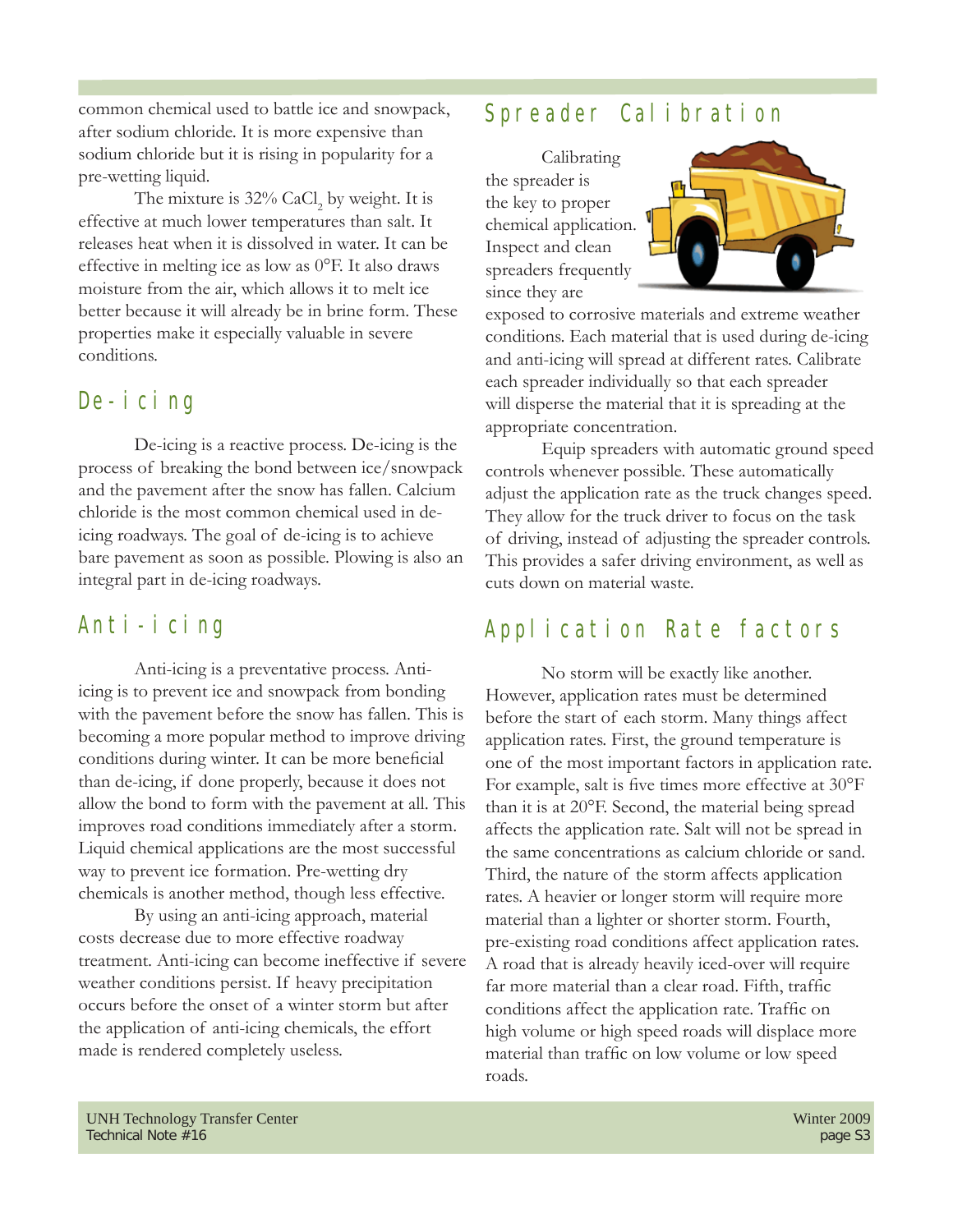common chemical used to battle ice and snowpack, after sodium chloride. It is more expensive than sodium chloride but it is rising in popularity for a pre-wetting liquid.

The mixture is  $32\%$  CaCl<sub>2</sub> by weight. It is effective at much lower temperatures than salt. It releases heat when it is dissolved in water. It can be effective in melting ice as low as 0°F. It also draws moisture from the air, which allows it to melt ice better because it will already be in brine form. These properties make it especially valuable in severe conditions.

#### De-icing

 De-icing is a reactive process. De-icing is the process of breaking the bond between ice/snowpack and the pavement after the snow has fallen. Calcium chloride is the most common chemical used in deicing roadways. The goal of de-icing is to achieve bare pavement as soon as possible. Plowing is also an integral part in de-icing roadways.

#### Anti-icing

 Anti-icing is a preventative process. Antiicing is to prevent ice and snowpack from bonding with the pavement before the snow has fallen. This is becoming a more popular method to improve driving conditions during winter. It can be more beneficial than de-icing, if done properly, because it does not allow the bond to form with the pavement at all. This improves road conditions immediately after a storm. Liquid chemical applications are the most successful way to prevent ice formation. Pre-wetting dry chemicals is another method, though less effective.

 By using an anti-icing approach, material costs decrease due to more effective roadway treatment. Anti-icing can become ineffective if severe weather conditions persist. If heavy precipitation occurs before the onset of a winter storm but after the application of anti-icing chemicals, the effort made is rendered completely useless.

## Spreader Calibration

 Calibrating the spreader is the key to proper chemical application. Inspect and clean spreaders frequently since they are



exposed to corrosive materials and extreme weather conditions. Each material that is used during de-icing and anti-icing will spread at different rates. Calibrate each spreader individually so that each spreader will disperse the material that it is spreading at the appropriate concentration.

 Equip spreaders with automatic ground speed controls whenever possible. These automatically adjust the application rate as the truck changes speed. They allow for the truck driver to focus on the task of driving, instead of adjusting the spreader controls. This provides a safer driving environment, as well as cuts down on material waste.

## Application Rate factors

 No storm will be exactly like another. However, application rates must be determined before the start of each storm. Many things affect application rates. First, the ground temperature is one of the most important factors in application rate. For example, salt is five times more effective at  $30^{\circ}$ F than it is at 20°F. Second, the material being spread affects the application rate. Salt will not be spread in the same concentrations as calcium chloride or sand. Third, the nature of the storm affects application rates. A heavier or longer storm will require more material than a lighter or shorter storm. Fourth, pre-existing road conditions affect application rates. A road that is already heavily iced-over will require far more material than a clear road. Fifth, traffic conditions affect the application rate. Traffic on high volume or high speed roads will displace more material than traffic on low volume or low speed roads.